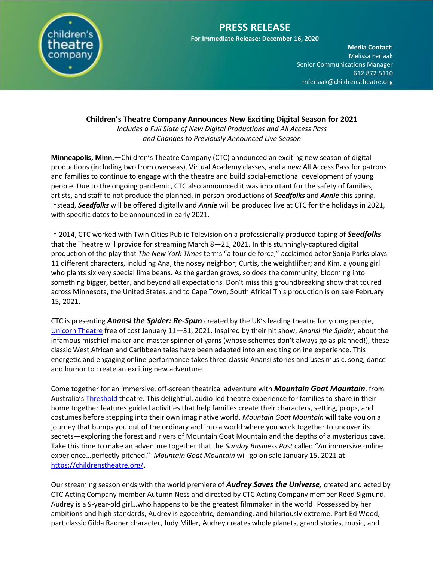

# **PRESS RELEASE**

**For Immediate Release: December 16, 2020**

**Media Contact:**  Melissa Ferlaak Senior Communications Manager 612.872.5110 [mferlaak@childrenstheatre.org](mailto:mferlaak@childrenstheatre.org)

#### **Children's Theatre Company Announces New Exciting Digital Season for 2021**

*Includes a Full Slate of New Digital Productions and All Access Pass and Changes to Previously Announced Live Season*

**Minneapolis, Minn.—**Children's Theatre Company (CTC) announced an exciting new season of digital productions (including two from overseas), Virtual Academy classes, and a new All Access Pass for patrons and families to continue to engage with the theatre and build social-emotional development of young people. Due to the ongoing pandemic, CTC also announced it was important for the safety of families, artists, and staff to not produce the planned, in person productions of *Seedfolks* and *Annie* this spring. Instead, *Seedfolks* will be offered digitally and *Annie* will be produced live at CTC for the holidays in 2021, with specific dates to be announced in early 2021.

In 2014, CTC worked with Twin Cities Public Television on a professionally produced taping of *Seedfolks* that the Theatre will provide for streaming March 8—21, 2021. In this stunningly-captured digital production of the play that *The New York Times* terms "a tour de force," acclaimed actor Sonja Parks plays 11 different characters, including Ana, the nosey neighbor; Curtis, the weightlifter; and Kim, a young girl who plants six very special lima beans. As the garden grows, so does the community, blooming into something bigger, better, and beyond all expectations. Don't miss this groundbreaking show that toured across Minnesota, the United States, and to Cape Town, South Africa! This production is on sale February 15, 2021.

CTC is presenting *Anansi the Spider: Re-Spun* created by the UK's leading theatre for young people, [Unicorn Theatre](https://www.unicorntheatre.com/) free of cost January 11—31, 2021. Inspired by their hit show, *Anansi the Spider*, about the infamous mischief-maker and master spinner of yarns (whose schemes don't always go as planned!), these classic West African and Caribbean tales have been adapted into an exciting online experience. This energetic and engaging online performance takes three classic Anansi stories and uses music, song, dance and humor to create an exciting new adventure.

Come together for an immersive, off-screen theatrical adventure with *Mountain Goat Mountain*, from Australia's [Threshold](https://www.thethreshold.com.au/) theatre. This delightful, audio-led theatre experience for families to share in their home together features guided activities that help families create their characters, setting, props, and costumes before stepping into their own imaginative world. *Mountain Goat Mountain* will take you on a journey that bumps you out of the ordinary and into a world where you work together to uncover its secrets—exploring the forest and rivers of Mountain Goat Mountain and the depths of a mysterious cave. Take this time to make an adventure together that the *Sunday Business Post* called "An immersive online experience…perfectly pitched." *Mountain Goat Mountain* will go on sale January 15, 2021 at [https://childrenstheatre.org/.](https://childrenstheatre.org/)

Our streaming season ends with the world premiere of *Audrey Saves the Universe,* created and acted by CTC Acting Company member Autumn Ness and directed by CTC Acting Company member Reed Sigmund. Audrey is a 9-year-old girl…who happens to be the greatest filmmaker in the world! Possessed by her ambitions and high standards, Audrey is egocentric, demanding, and hilariously extreme. Part Ed Wood, part classic Gilda Radner character, Judy Miller, Audrey creates whole planets, grand stories, music, and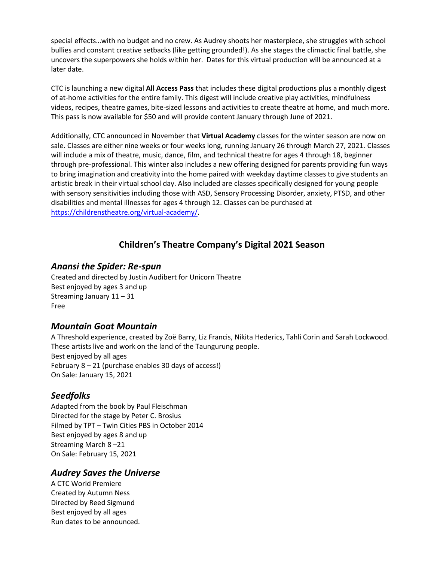special effects...with no budget and no crew. As Audrey shoots her masterpiece, she struggles with school bullies and constant creative setbacks (like getting grounded!). As she stages the climactic final battle, she uncovers the superpowers she holds within her. Dates for this virtual production will be announced at a later date.

CTC is launching a new digital **All Access Pass** that includes these digital productions plus a monthly digest of at-home activities for the entire family. This digest will include creative play activities, mindfulness videos, recipes, theatre games, bite-sized lessons and activities to create theatre at home, and much more. This pass is now available for \$50 and will provide content January through June of 2021.

Additionally, CTC announced in November that **Virtual Academy** classes for the winter season are now on sale. Classes are either nine weeks or four weeks long, running January 26 through March 27, 2021. Classes will include a mix of theatre, music, dance, film, and technical theatre for ages 4 through 18, beginner through pre-professional. This winter also includes a new offering designed for parents providing fun ways to bring imagination and creativity into the home paired with weekday daytime classes to give students an artistic break in their virtual school day. Also included are classes specifically designed for young people with sensory sensitivities including those with ASD, Sensory Processing Disorder, anxiety, PTSD, and other disabilities and mental illnesses for ages 4 through 12. Classes can be purchased at [https://childrenstheatre.org/virtual-academy/.](https://childrenstheatre.org/virtual-academy/)

## **Children's Theatre Company's Digital 2021 Season**

#### *Anansi the Spider: Re-spun*

Created and directed by Justin Audibert for Unicorn Theatre Best enjoyed by ages 3 and up Streaming January 11 – 31 Free

#### *Mountain Goat Mountain*

A Threshold experience, created by Zoë Barry, Liz Francis, Nikita Hederics, Tahli Corin and Sarah Lockwood. These artists live and work on the land of the Taungurung people. Best enjoyed by all ages February 8 – 21 (purchase enables 30 days of access!) On Sale: January 15, 2021

## *Seedfolks*

Adapted from the book by Paul Fleischman Directed for the stage by Peter C. Brosius Filmed by TPT – Twin Cities PBS in October 2014 Best enjoyed by ages 8 and up Streaming March 8 –21 On Sale: February 15, 2021

## *Audrey Saves the Universe*

A CTC World Premiere Created by Autumn Ness Directed by Reed Sigmund Best enjoyed by all ages Run dates to be announced.